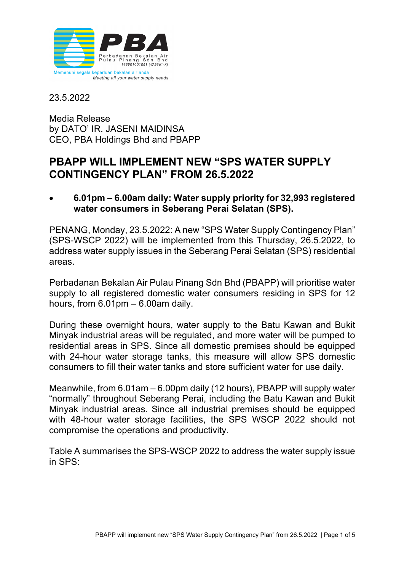

23.5.2022

Media Release by DATO' IR. JASENI MAIDINSA CEO, PBA Holdings Bhd and PBAPP

# **PBAPP WILL IMPLEMENT NEW "SPS WATER SUPPLY CONTINGENCY PLAN" FROM 26.5.2022**

• **6.01pm – 6.00am daily: Water supply priority for 32,993 registered water consumers in Seberang Perai Selatan (SPS).**

PENANG, Monday, 23.5.2022: A new "SPS Water Supply Contingency Plan" (SPS-WSCP 2022) will be implemented from this Thursday, 26.5.2022, to address water supply issues in the Seberang Perai Selatan (SPS) residential areas.

Perbadanan Bekalan Air Pulau Pinang Sdn Bhd (PBAPP) will prioritise water supply to all registered domestic water consumers residing in SPS for 12 hours, from  $6.01 \text{pm} - 6.00 \text{am}$  daily.

During these overnight hours, water supply to the Batu Kawan and Bukit Minyak industrial areas will be regulated, and more water will be pumped to residential areas in SPS. Since all domestic premises should be equipped with 24-hour water storage tanks, this measure will allow SPS domestic consumers to fill their water tanks and store sufficient water for use daily.

Meanwhile, from 6.01am – 6.00pm daily (12 hours), PBAPP will supply water "normally" throughout Seberang Perai, including the Batu Kawan and Bukit Minyak industrial areas. Since all industrial premises should be equipped with 48-hour water storage facilities, the SPS WSCP 2022 should not compromise the operations and productivity.

Table A summarises the SPS-WSCP 2022 to address the water supply issue in SPS: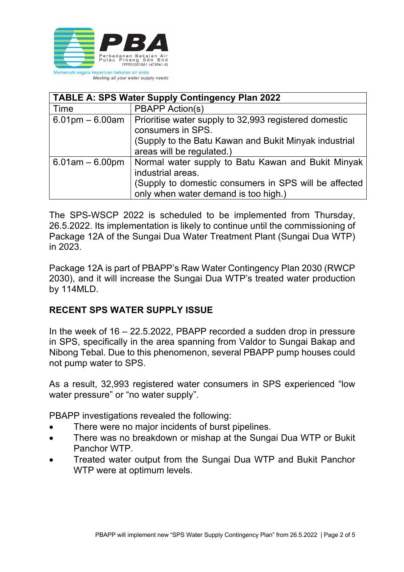

| <b>TABLE A: SPS Water Supply Contingency Plan 2022</b> |                                                                                               |  |  |
|--------------------------------------------------------|-----------------------------------------------------------------------------------------------|--|--|
| Time                                                   | <b>PBAPP Action(s)</b>                                                                        |  |  |
| $6.01 \text{pm} - 6.00 \text{am}$                      | Prioritise water supply to 32,993 registered domestic<br>consumers in SPS.                    |  |  |
|                                                        | (Supply to the Batu Kawan and Bukit Minyak industrial<br>areas will be regulated.)            |  |  |
| $6.01$ am $-6.00$ pm                                   | Normal water supply to Batu Kawan and Bukit Minyak<br>industrial areas.                       |  |  |
|                                                        | (Supply to domestic consumers in SPS will be affected<br>only when water demand is too high.) |  |  |

The SPS-WSCP 2022 is scheduled to be implemented from Thursday, 26.5.2022. Its implementation is likely to continue until the commissioning of Package 12A of the Sungai Dua Water Treatment Plant (Sungai Dua WTP) in 2023.

Package 12A is part of PBAPP's Raw Water Contingency Plan 2030 (RWCP 2030), and it will increase the Sungai Dua WTP's treated water production by 114MLD.

### **RECENT SPS WATER SUPPLY ISSUE**

In the week of 16 – 22.5.2022, PBAPP recorded a sudden drop in pressure in SPS, specifically in the area spanning from Valdor to Sungai Bakap and Nibong Tebal. Due to this phenomenon, several PBAPP pump houses could not pump water to SPS.

As a result, 32,993 registered water consumers in SPS experienced "low water pressure" or "no water supply".

PBAPP investigations revealed the following:

- There were no major incidents of burst pipelines.
- There was no breakdown or mishap at the Sungai Dua WTP or Bukit Panchor WTP.
- Treated water output from the Sungai Dua WTP and Bukit Panchor WTP were at optimum levels.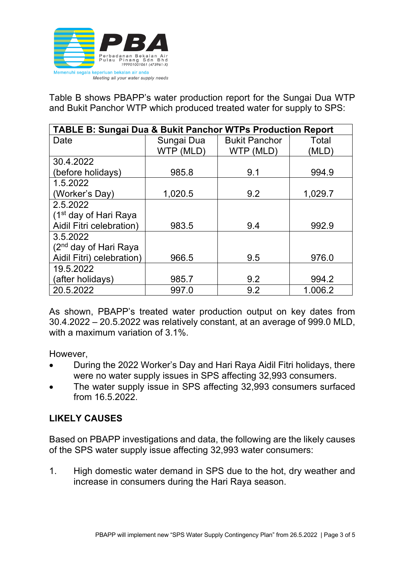

Table B shows PBAPP's water production report for the Sungai Dua WTP and Bukit Panchor WTP which produced treated water for supply to SPS:

| <b>TABLE B: Sungai Dua &amp; Bukit Panchor WTPs Production Report</b> |            |                      |         |  |
|-----------------------------------------------------------------------|------------|----------------------|---------|--|
| Date                                                                  | Sungai Dua | <b>Bukit Panchor</b> | Total   |  |
|                                                                       | WTP (MLD)  | WTP (MLD)            | (MLD)   |  |
| 30.4.2022                                                             |            |                      |         |  |
| (before holidays)                                                     | 985.8      | 9.1                  | 994.9   |  |
| 1.5.2022                                                              |            |                      |         |  |
| (Worker's Day)                                                        | 1,020.5    | 9.2                  | 1,029.7 |  |
| 2.5.2022                                                              |            |                      |         |  |
| (1 <sup>st</sup> day of Hari Raya                                     |            |                      |         |  |
| Aidil Fitri celebration)                                              | 983.5      | 9.4                  | 992.9   |  |
| 3.5.2022                                                              |            |                      |         |  |
| (2 <sup>nd</sup> day of Hari Raya                                     |            |                      |         |  |
| Aidil Fitri) celebration)                                             | 966.5      | 9.5                  | 976.0   |  |
| 19.5.2022                                                             |            |                      |         |  |
| (after holidays)                                                      | 985.7      | 9.2                  | 994.2   |  |
| 20.5.2022                                                             | 997.0      | 9.2                  | 1.006.2 |  |

As shown, PBAPP's treated water production output on key dates from 30.4.2022 – 20.5.2022 was relatively constant, at an average of 999.0 MLD, with a maximum variation of 3.1%

However,

- During the 2022 Worker's Day and Hari Raya Aidil Fitri holidays, there were no water supply issues in SPS affecting 32,993 consumers.
- The water supply issue in SPS affecting 32,993 consumers surfaced from 16.5.2022.

## **LIKELY CAUSES**

Based on PBAPP investigations and data, the following are the likely causes of the SPS water supply issue affecting 32,993 water consumers:

1. High domestic water demand in SPS due to the hot, dry weather and increase in consumers during the Hari Raya season.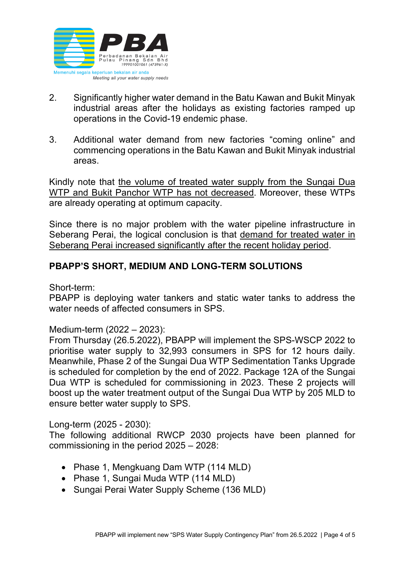

- 2. Significantly higher water demand in the Batu Kawan and Bukit Minyak industrial areas after the holidays as existing factories ramped up operations in the Covid-19 endemic phase.
- 3. Additional water demand from new factories "coming online" and commencing operations in the Batu Kawan and Bukit Minyak industrial areas.

Kindly note that the volume of treated water supply from the Sungai Dua WTP and Bukit Panchor WTP has not decreased. Moreover, these WTPs are already operating at optimum capacity.

Since there is no major problem with the water pipeline infrastructure in Seberang Perai, the logical conclusion is that demand for treated water in Seberang Perai increased significantly after the recent holiday period.

### **PBAPP'S SHORT, MEDIUM AND LONG-TERM SOLUTIONS**

Short-term:

PBAPP is deploying water tankers and static water tanks to address the water needs of affected consumers in SPS.

Medium-term (2022 – 2023):

From Thursday (26.5.2022), PBAPP will implement the SPS-WSCP 2022 to prioritise water supply to 32,993 consumers in SPS for 12 hours daily. Meanwhile, Phase 2 of the Sungai Dua WTP Sedimentation Tanks Upgrade is scheduled for completion by the end of 2022. Package 12A of the Sungai Dua WTP is scheduled for commissioning in 2023. These 2 projects will boost up the water treatment output of the Sungai Dua WTP by 205 MLD to ensure better water supply to SPS.

Long-term (2025 - 2030):

The following additional RWCP 2030 projects have been planned for commissioning in the period 2025 – 2028:

- Phase 1, Mengkuang Dam WTP (114 MLD)
- Phase 1, Sungai Muda WTP (114 MLD)
- Sungai Perai Water Supply Scheme (136 MLD)